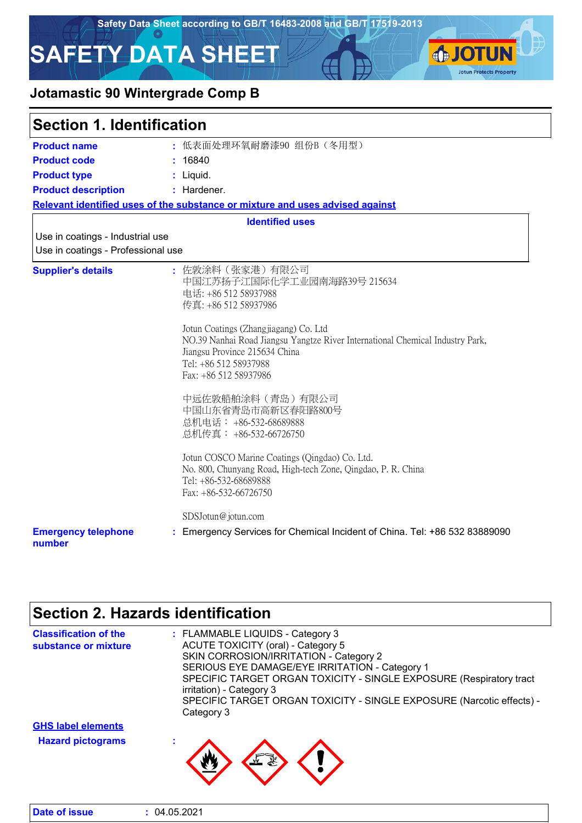

### **Jotamastic 90 Wintergrade Comp B**

| <b>Section 1. Identification</b>                                       |                                                                                                                                                                                                                                                                                                                                                                                                                                                                                                                                                                                                       |
|------------------------------------------------------------------------|-------------------------------------------------------------------------------------------------------------------------------------------------------------------------------------------------------------------------------------------------------------------------------------------------------------------------------------------------------------------------------------------------------------------------------------------------------------------------------------------------------------------------------------------------------------------------------------------------------|
| <b>Product name</b>                                                    | : 低表面处理环氧耐磨漆90 组份B (冬用型)                                                                                                                                                                                                                                                                                                                                                                                                                                                                                                                                                                              |
| <b>Product code</b>                                                    | : 16840                                                                                                                                                                                                                                                                                                                                                                                                                                                                                                                                                                                               |
| <b>Product type</b>                                                    | : Liquid.                                                                                                                                                                                                                                                                                                                                                                                                                                                                                                                                                                                             |
| <b>Product description</b>                                             | : Hardener.                                                                                                                                                                                                                                                                                                                                                                                                                                                                                                                                                                                           |
|                                                                        | Relevant identified uses of the substance or mixture and uses advised against                                                                                                                                                                                                                                                                                                                                                                                                                                                                                                                         |
|                                                                        | <b>Identified uses</b>                                                                                                                                                                                                                                                                                                                                                                                                                                                                                                                                                                                |
| Use in coatings - Industrial use<br>Use in coatings - Professional use |                                                                                                                                                                                                                                                                                                                                                                                                                                                                                                                                                                                                       |
| <b>Supplier's details</b>                                              | : 佐敦涂料(张家港)有限公司<br>中国江苏扬子江国际化学工业园南海路39号 215634<br>电话: +86 512 58937988<br>传真: +86 512 58937986<br>Jotun Coatings (Zhangjiagang) Co. Ltd<br>NO.39 Nanhai Road Jiangsu Yangtze River International Chemical Industry Park,<br>Jiangsu Province 215634 China<br>Tel: +86 512 58937988<br>Fax: +86 512 58937986<br>中远佐敦船舶涂料 (青岛) 有限公司<br>中国山东省青岛市高新区春阳路800号<br>总机电话: +86-532-68689888<br>总机传真: +86-532-66726750<br>Jotun COSCO Marine Coatings (Qingdao) Co. Ltd.<br>No. 800, Chunyang Road, High-tech Zone, Qingdao, P. R. China<br>Tel: +86-532-68689888<br>Fax: +86-532-66726750<br>SDSJotun@jotun.com |
| <b>Emergency telephone</b><br>number                                   | : Emergency Services for Chemical Incident of China. Tel: +86 532 83889090                                                                                                                                                                                                                                                                                                                                                                                                                                                                                                                            |

# **Section 2. Hazards identification**

| <b>Classification of the</b><br>substance or mixture | : FLAMMABLE LIQUIDS - Category 3<br>ACUTE TOXICITY (oral) - Category 5<br>SKIN CORROSION/IRRITATION - Category 2<br>SERIOUS EYE DAMAGE/EYE IRRITATION - Category 1<br>SPECIFIC TARGET ORGAN TOXICITY - SINGLE EXPOSURE (Respiratory tract<br>irritation) - Category 3 |
|------------------------------------------------------|-----------------------------------------------------------------------------------------------------------------------------------------------------------------------------------------------------------------------------------------------------------------------|
|                                                      | SPECIFIC TARGET ORGAN TOXICITY - SINGLE EXPOSURE (Narcotic effects) -<br>Category 3                                                                                                                                                                                   |
| <b>GHS label elements</b>                            |                                                                                                                                                                                                                                                                       |
| <b>Hazard pictograms</b>                             |                                                                                                                                                                                                                                                                       |

| : 04.05.2021 |
|--------------|
|              |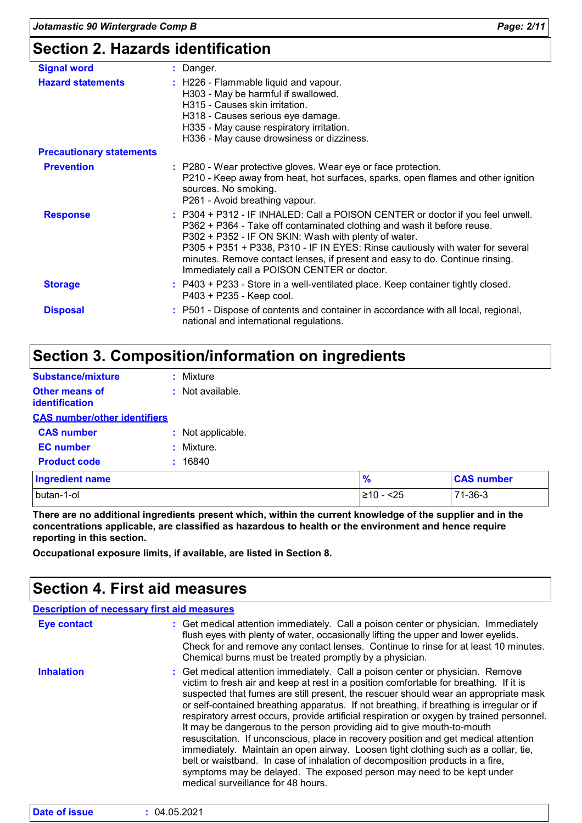| <b>Signal word</b>              | : Danger.                                                                                                                                                                                                                                                                                                                                                                                                                         |
|---------------------------------|-----------------------------------------------------------------------------------------------------------------------------------------------------------------------------------------------------------------------------------------------------------------------------------------------------------------------------------------------------------------------------------------------------------------------------------|
| <b>Hazard statements</b>        | : H226 - Flammable liquid and vapour.<br>H303 - May be harmful if swallowed.<br>H315 - Causes skin irritation.<br>H318 - Causes serious eye damage.<br>H335 - May cause respiratory irritation.<br>H336 - May cause drowsiness or dizziness.                                                                                                                                                                                      |
| <b>Precautionary statements</b> |                                                                                                                                                                                                                                                                                                                                                                                                                                   |
| <b>Prevention</b>               | : P280 - Wear protective gloves. Wear eye or face protection.<br>P210 - Keep away from heat, hot surfaces, sparks, open flames and other ignition<br>sources. No smoking.<br>P261 - Avoid breathing vapour.                                                                                                                                                                                                                       |
| <b>Response</b>                 | : P304 + P312 - IF INHALED: Call a POISON CENTER or doctor if you feel unwell.<br>P362 + P364 - Take off contaminated clothing and wash it before reuse.<br>P302 + P352 - IF ON SKIN: Wash with plenty of water.<br>P305 + P351 + P338, P310 - IF IN EYES: Rinse cautiously with water for several<br>minutes. Remove contact lenses, if present and easy to do. Continue rinsing.<br>Immediately call a POISON CENTER or doctor. |
| <b>Storage</b>                  | : P403 + P233 - Store in a well-ventilated place. Keep container tightly closed.<br>P403 + P235 - Keep cool.                                                                                                                                                                                                                                                                                                                      |
| <b>Disposal</b>                 | : P501 - Dispose of contents and container in accordance with all local, regional,<br>national and international regulations.                                                                                                                                                                                                                                                                                                     |

### **Section 3. Composition/information on ingredients**

| <b>Substance/mixture</b>                       | Mixture           |               |                   |
|------------------------------------------------|-------------------|---------------|-------------------|
| <b>Other means of</b><br><i>identification</i> | : Not available.  |               |                   |
| <b>CAS number/other identifiers</b>            |                   |               |                   |
| <b>CAS number</b>                              | : Not applicable. |               |                   |
| <b>EC</b> number                               | : Mixture.        |               |                   |
| <b>Product code</b>                            | : 16840           |               |                   |
| <b>Ingredient name</b>                         |                   | $\frac{9}{6}$ | <b>CAS number</b> |
| butan-1-ol                                     |                   | $≥10 - 25$    | 71-36-3           |

**There are no additional ingredients present which, within the current knowledge of the supplier and in the concentrations applicable, are classified as hazardous to health or the environment and hence require reporting in this section.**

**Occupational exposure limits, if available, are listed in Section 8.**

### **Section 4. First aid measures**

| <b>Description of necessary first aid measures</b> |                                                                                                                                                                                                                                                                                                                                                                                                                                                                                                                                                                                                                                                                                                                                                                                                                                                                                                                 |
|----------------------------------------------------|-----------------------------------------------------------------------------------------------------------------------------------------------------------------------------------------------------------------------------------------------------------------------------------------------------------------------------------------------------------------------------------------------------------------------------------------------------------------------------------------------------------------------------------------------------------------------------------------------------------------------------------------------------------------------------------------------------------------------------------------------------------------------------------------------------------------------------------------------------------------------------------------------------------------|
| Eye contact                                        | : Get medical attention immediately. Call a poison center or physician. Immediately<br>flush eyes with plenty of water, occasionally lifting the upper and lower eyelids.<br>Check for and remove any contact lenses. Continue to rinse for at least 10 minutes.<br>Chemical burns must be treated promptly by a physician.                                                                                                                                                                                                                                                                                                                                                                                                                                                                                                                                                                                     |
| <b>Inhalation</b>                                  | : Get medical attention immediately. Call a poison center or physician. Remove<br>victim to fresh air and keep at rest in a position comfortable for breathing. If it is<br>suspected that fumes are still present, the rescuer should wear an appropriate mask<br>or self-contained breathing apparatus. If not breathing, if breathing is irregular or if<br>respiratory arrest occurs, provide artificial respiration or oxygen by trained personnel.<br>It may be dangerous to the person providing aid to give mouth-to-mouth<br>resuscitation. If unconscious, place in recovery position and get medical attention<br>immediately. Maintain an open airway. Loosen tight clothing such as a collar, tie,<br>belt or waistband. In case of inhalation of decomposition products in a fire,<br>symptoms may be delayed. The exposed person may need to be kept under<br>medical surveillance for 48 hours. |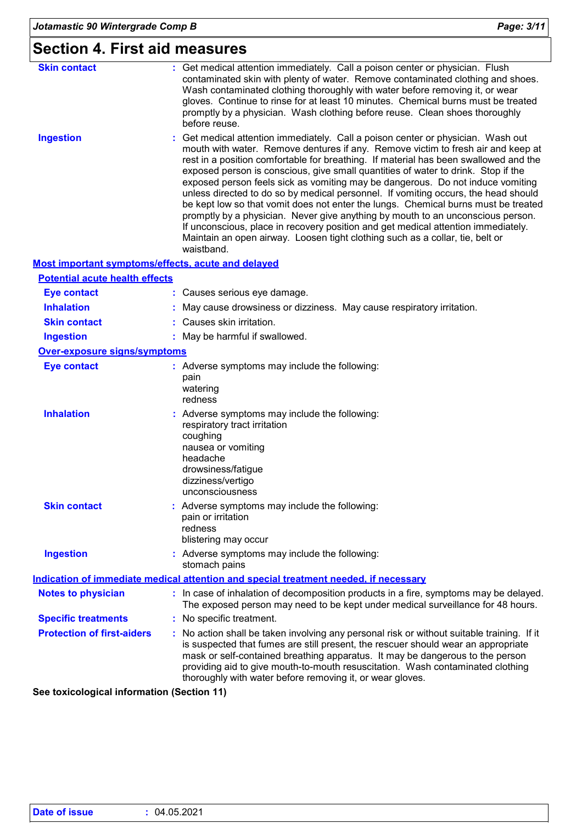### **Section 4. First aid measures**

| <b>Skin contact</b>                                | : Get medical attention immediately. Call a poison center or physician. Flush<br>contaminated skin with plenty of water. Remove contaminated clothing and shoes.<br>Wash contaminated clothing thoroughly with water before removing it, or wear<br>gloves. Continue to rinse for at least 10 minutes. Chemical burns must be treated<br>promptly by a physician. Wash clothing before reuse. Clean shoes thoroughly<br>before reuse.                                                                                                                                                                                                                                                                                                                                                                                                                                                |
|----------------------------------------------------|--------------------------------------------------------------------------------------------------------------------------------------------------------------------------------------------------------------------------------------------------------------------------------------------------------------------------------------------------------------------------------------------------------------------------------------------------------------------------------------------------------------------------------------------------------------------------------------------------------------------------------------------------------------------------------------------------------------------------------------------------------------------------------------------------------------------------------------------------------------------------------------|
| <b>Ingestion</b>                                   | Get medical attention immediately. Call a poison center or physician. Wash out<br>mouth with water. Remove dentures if any. Remove victim to fresh air and keep at<br>rest in a position comfortable for breathing. If material has been swallowed and the<br>exposed person is conscious, give small quantities of water to drink. Stop if the<br>exposed person feels sick as vomiting may be dangerous. Do not induce vomiting<br>unless directed to do so by medical personnel. If vomiting occurs, the head should<br>be kept low so that vomit does not enter the lungs. Chemical burns must be treated<br>promptly by a physician. Never give anything by mouth to an unconscious person.<br>If unconscious, place in recovery position and get medical attention immediately.<br>Maintain an open airway. Loosen tight clothing such as a collar, tie, belt or<br>waistband. |
| Most important symptoms/effects, acute and delayed |                                                                                                                                                                                                                                                                                                                                                                                                                                                                                                                                                                                                                                                                                                                                                                                                                                                                                      |
| <b>Potential acute health effects</b>              |                                                                                                                                                                                                                                                                                                                                                                                                                                                                                                                                                                                                                                                                                                                                                                                                                                                                                      |
| <b>Eye contact</b>                                 | : Causes serious eye damage.                                                                                                                                                                                                                                                                                                                                                                                                                                                                                                                                                                                                                                                                                                                                                                                                                                                         |
| <b>Inhalation</b>                                  | May cause drowsiness or dizziness. May cause respiratory irritation.                                                                                                                                                                                                                                                                                                                                                                                                                                                                                                                                                                                                                                                                                                                                                                                                                 |
| <b>Skin contact</b>                                | : Causes skin irritation.                                                                                                                                                                                                                                                                                                                                                                                                                                                                                                                                                                                                                                                                                                                                                                                                                                                            |
| <b>Ingestion</b>                                   | : May be harmful if swallowed.                                                                                                                                                                                                                                                                                                                                                                                                                                                                                                                                                                                                                                                                                                                                                                                                                                                       |
| <b>Over-exposure signs/symptoms</b>                |                                                                                                                                                                                                                                                                                                                                                                                                                                                                                                                                                                                                                                                                                                                                                                                                                                                                                      |
| <b>Eye contact</b>                                 | : Adverse symptoms may include the following:<br>pain<br>watering<br>redness                                                                                                                                                                                                                                                                                                                                                                                                                                                                                                                                                                                                                                                                                                                                                                                                         |
| <b>Inhalation</b>                                  | Adverse symptoms may include the following:<br>respiratory tract irritation<br>coughing<br>nausea or vomiting<br>headache<br>drowsiness/fatigue<br>dizziness/vertigo<br>unconsciousness                                                                                                                                                                                                                                                                                                                                                                                                                                                                                                                                                                                                                                                                                              |
| <b>Skin contact</b>                                | Adverse symptoms may include the following:<br>pain or irritation<br>redness<br>blistering may occur                                                                                                                                                                                                                                                                                                                                                                                                                                                                                                                                                                                                                                                                                                                                                                                 |
| <b>Ingestion</b>                                   | Adverse symptoms may include the following:<br>stomach pains                                                                                                                                                                                                                                                                                                                                                                                                                                                                                                                                                                                                                                                                                                                                                                                                                         |
|                                                    | Indication of immediate medical attention and special treatment needed, if necessary                                                                                                                                                                                                                                                                                                                                                                                                                                                                                                                                                                                                                                                                                                                                                                                                 |
| <b>Notes to physician</b>                          | : In case of inhalation of decomposition products in a fire, symptoms may be delayed.<br>The exposed person may need to be kept under medical surveillance for 48 hours.                                                                                                                                                                                                                                                                                                                                                                                                                                                                                                                                                                                                                                                                                                             |
| <b>Specific treatments</b>                         | : No specific treatment.                                                                                                                                                                                                                                                                                                                                                                                                                                                                                                                                                                                                                                                                                                                                                                                                                                                             |
| <b>Protection of first-aiders</b>                  | No action shall be taken involving any personal risk or without suitable training. If it<br>is suspected that fumes are still present, the rescuer should wear an appropriate<br>mask or self-contained breathing apparatus. It may be dangerous to the person<br>providing aid to give mouth-to-mouth resuscitation. Wash contaminated clothing<br>thoroughly with water before removing it, or wear gloves.                                                                                                                                                                                                                                                                                                                                                                                                                                                                        |

**See toxicological information (Section 11)**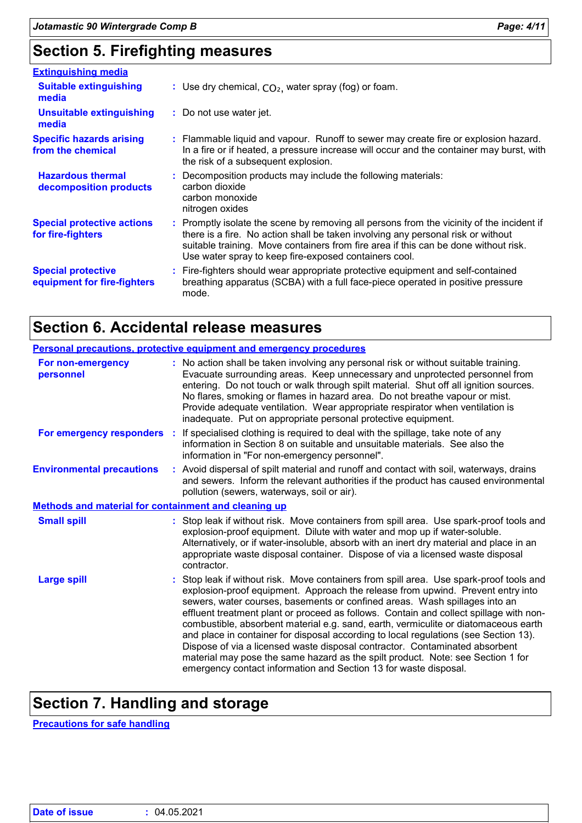## **Section 5. Firefighting measures**

| <b>Extinguishing media</b>                               |                                                                                                                                                                                                                                                                                                                               |
|----------------------------------------------------------|-------------------------------------------------------------------------------------------------------------------------------------------------------------------------------------------------------------------------------------------------------------------------------------------------------------------------------|
| <b>Suitable extinguishing</b><br>media                   | : Use dry chemical, $CO2$ , water spray (fog) or foam.                                                                                                                                                                                                                                                                        |
| Unsuitable extinguishing<br>media                        | : Do not use water jet.                                                                                                                                                                                                                                                                                                       |
| <b>Specific hazards arising</b><br>from the chemical     | : Flammable liquid and vapour. Runoff to sewer may create fire or explosion hazard.<br>In a fire or if heated, a pressure increase will occur and the container may burst, with<br>the risk of a subsequent explosion.                                                                                                        |
| <b>Hazardous thermal</b><br>decomposition products       | : Decomposition products may include the following materials:<br>carbon dioxide<br>carbon monoxide<br>nitrogen oxides                                                                                                                                                                                                         |
| <b>Special protective actions</b><br>for fire-fighters   | : Promptly isolate the scene by removing all persons from the vicinity of the incident if<br>there is a fire. No action shall be taken involving any personal risk or without<br>suitable training. Move containers from fire area if this can be done without risk.<br>Use water spray to keep fire-exposed containers cool. |
| <b>Special protective</b><br>equipment for fire-fighters | : Fire-fighters should wear appropriate protective equipment and self-contained<br>breathing apparatus (SCBA) with a full face-piece operated in positive pressure<br>mode.                                                                                                                                                   |

### **Section 6. Accidental release measures**

|                                                             | Personal precautions, protective equipment and emergency procedures                                                                                                                                                                                                                                                                                                                                                                                                                                                                                                                                                                                                                                                                                                     |
|-------------------------------------------------------------|-------------------------------------------------------------------------------------------------------------------------------------------------------------------------------------------------------------------------------------------------------------------------------------------------------------------------------------------------------------------------------------------------------------------------------------------------------------------------------------------------------------------------------------------------------------------------------------------------------------------------------------------------------------------------------------------------------------------------------------------------------------------------|
| For non-emergency<br>personnel                              | : No action shall be taken involving any personal risk or without suitable training.<br>Evacuate surrounding areas. Keep unnecessary and unprotected personnel from<br>entering. Do not touch or walk through spilt material. Shut off all ignition sources.<br>No flares, smoking or flames in hazard area. Do not breathe vapour or mist.<br>Provide adequate ventilation. Wear appropriate respirator when ventilation is<br>inadequate. Put on appropriate personal protective equipment.                                                                                                                                                                                                                                                                           |
|                                                             | For emergency responders : If specialised clothing is required to deal with the spillage, take note of any<br>information in Section 8 on suitable and unsuitable materials. See also the<br>information in "For non-emergency personnel".                                                                                                                                                                                                                                                                                                                                                                                                                                                                                                                              |
| <b>Environmental precautions</b>                            | : Avoid dispersal of spilt material and runoff and contact with soil, waterways, drains<br>and sewers. Inform the relevant authorities if the product has caused environmental<br>pollution (sewers, waterways, soil or air).                                                                                                                                                                                                                                                                                                                                                                                                                                                                                                                                           |
| <b>Methods and material for containment and cleaning up</b> |                                                                                                                                                                                                                                                                                                                                                                                                                                                                                                                                                                                                                                                                                                                                                                         |
| <b>Small spill</b>                                          | : Stop leak if without risk. Move containers from spill area. Use spark-proof tools and<br>explosion-proof equipment. Dilute with water and mop up if water-soluble.<br>Alternatively, or if water-insoluble, absorb with an inert dry material and place in an<br>appropriate waste disposal container. Dispose of via a licensed waste disposal<br>contractor.                                                                                                                                                                                                                                                                                                                                                                                                        |
| <b>Large spill</b>                                          | : Stop leak if without risk. Move containers from spill area. Use spark-proof tools and<br>explosion-proof equipment. Approach the release from upwind. Prevent entry into<br>sewers, water courses, basements or confined areas. Wash spillages into an<br>effluent treatment plant or proceed as follows. Contain and collect spillage with non-<br>combustible, absorbent material e.g. sand, earth, vermiculite or diatomaceous earth<br>and place in container for disposal according to local regulations (see Section 13).<br>Dispose of via a licensed waste disposal contractor. Contaminated absorbent<br>material may pose the same hazard as the spilt product. Note: see Section 1 for<br>emergency contact information and Section 13 for waste disposal. |

# **Section 7. Handling and storage**

**Precautions for safe handling**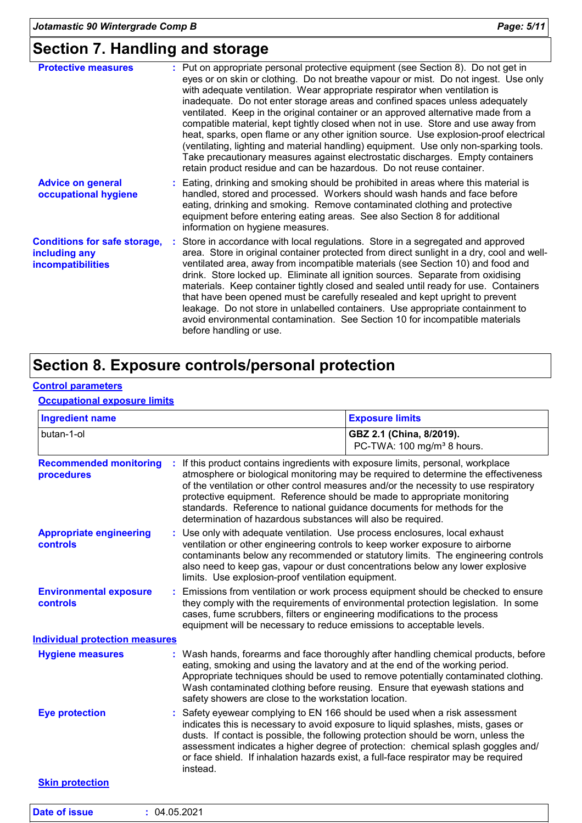### **Section 7. Handling and storage**

| <b>Protective measures</b>                                                       | : Put on appropriate personal protective equipment (see Section 8). Do not get in<br>eyes or on skin or clothing. Do not breathe vapour or mist. Do not ingest. Use only<br>with adequate ventilation. Wear appropriate respirator when ventilation is<br>inadequate. Do not enter storage areas and confined spaces unless adequately<br>ventilated. Keep in the original container or an approved alternative made from a<br>compatible material, kept tightly closed when not in use. Store and use away from<br>heat, sparks, open flame or any other ignition source. Use explosion-proof electrical<br>(ventilating, lighting and material handling) equipment. Use only non-sparking tools.<br>Take precautionary measures against electrostatic discharges. Empty containers<br>retain product residue and can be hazardous. Do not reuse container. |
|----------------------------------------------------------------------------------|--------------------------------------------------------------------------------------------------------------------------------------------------------------------------------------------------------------------------------------------------------------------------------------------------------------------------------------------------------------------------------------------------------------------------------------------------------------------------------------------------------------------------------------------------------------------------------------------------------------------------------------------------------------------------------------------------------------------------------------------------------------------------------------------------------------------------------------------------------------|
| <b>Advice on general</b><br>occupational hygiene                                 | : Eating, drinking and smoking should be prohibited in areas where this material is<br>handled, stored and processed. Workers should wash hands and face before<br>eating, drinking and smoking. Remove contaminated clothing and protective<br>equipment before entering eating areas. See also Section 8 for additional<br>information on hygiene measures.                                                                                                                                                                                                                                                                                                                                                                                                                                                                                                |
| <b>Conditions for safe storage,</b><br>including any<br><b>incompatibilities</b> | : Store in accordance with local regulations. Store in a segregated and approved<br>area. Store in original container protected from direct sunlight in a dry, cool and well-<br>ventilated area, away from incompatible materials (see Section 10) and food and<br>drink. Store locked up. Eliminate all ignition sources. Separate from oxidising<br>materials. Keep container tightly closed and sealed until ready for use. Containers<br>that have been opened must be carefully resealed and kept upright to prevent<br>leakage. Do not store in unlabelled containers. Use appropriate containment to<br>avoid environmental contamination. See Section 10 for incompatible materials<br>before handling or use.                                                                                                                                      |

## **Section 8. Exposure controls/personal protection**

#### **Control parameters**

#### **Occupational exposure limits**

| <b>Ingredient name</b>                           |                                                              | <b>Exposure limits</b>                                                                                                                                                                                                                                                                                                                                                                                                         |
|--------------------------------------------------|--------------------------------------------------------------|--------------------------------------------------------------------------------------------------------------------------------------------------------------------------------------------------------------------------------------------------------------------------------------------------------------------------------------------------------------------------------------------------------------------------------|
| butan-1-ol                                       |                                                              | GBZ 2.1 (China, 8/2019).<br>PC-TWA: 100 mg/m <sup>3</sup> 8 hours.                                                                                                                                                                                                                                                                                                                                                             |
| <b>Recommended monitoring</b><br>procedures      | determination of hazardous substances will also be required. | If this product contains ingredients with exposure limits, personal, workplace<br>atmosphere or biological monitoring may be required to determine the effectiveness<br>of the ventilation or other control measures and/or the necessity to use respiratory<br>protective equipment. Reference should be made to appropriate monitoring<br>standards. Reference to national guidance documents for methods for the            |
| <b>Appropriate engineering</b><br>controls       | limits. Use explosion-proof ventilation equipment.           | : Use only with adequate ventilation. Use process enclosures, local exhaust<br>ventilation or other engineering controls to keep worker exposure to airborne<br>contaminants below any recommended or statutory limits. The engineering controls<br>also need to keep gas, vapour or dust concentrations below any lower explosive                                                                                             |
| <b>Environmental exposure</b><br><b>controls</b> |                                                              | Emissions from ventilation or work process equipment should be checked to ensure<br>they comply with the requirements of environmental protection legislation. In some<br>cases, fume scrubbers, filters or engineering modifications to the process<br>equipment will be necessary to reduce emissions to acceptable levels.                                                                                                  |
| <b>Individual protection measures</b>            |                                                              |                                                                                                                                                                                                                                                                                                                                                                                                                                |
| <b>Hygiene measures</b>                          | safety showers are close to the workstation location.        | : Wash hands, forearms and face thoroughly after handling chemical products, before<br>eating, smoking and using the lavatory and at the end of the working period.<br>Appropriate techniques should be used to remove potentially contaminated clothing.<br>Wash contaminated clothing before reusing. Ensure that eyewash stations and                                                                                       |
| <b>Eye protection</b>                            | instead.                                                     | Safety eyewear complying to EN 166 should be used when a risk assessment<br>indicates this is necessary to avoid exposure to liquid splashes, mists, gases or<br>dusts. If contact is possible, the following protection should be worn, unless the<br>assessment indicates a higher degree of protection: chemical splash goggles and/<br>or face shield. If inhalation hazards exist, a full-face respirator may be required |
|                                                  |                                                              |                                                                                                                                                                                                                                                                                                                                                                                                                                |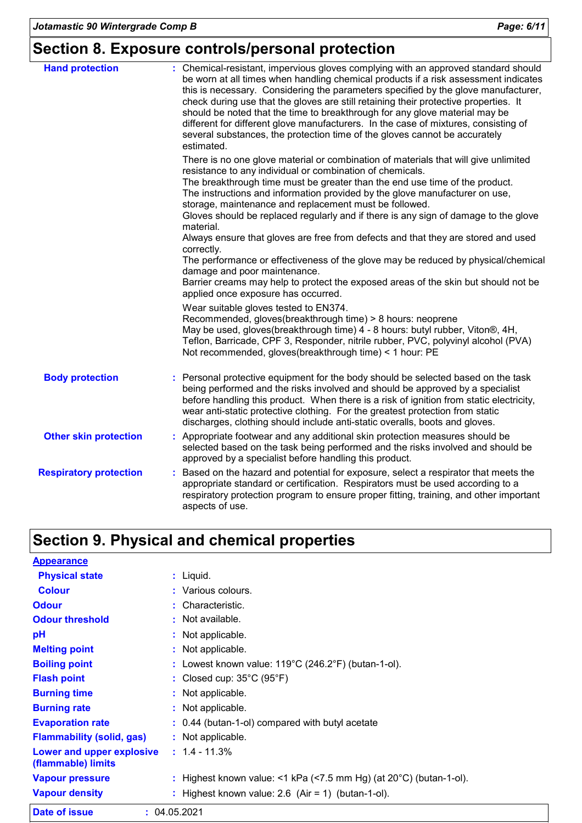# **Section 8. Exposure controls/personal protection**

| <b>Hand protection</b>        | : Chemical-resistant, impervious gloves complying with an approved standard should<br>be worn at all times when handling chemical products if a risk assessment indicates<br>this is necessary. Considering the parameters specified by the glove manufacturer,<br>check during use that the gloves are still retaining their protective properties. It<br>should be noted that the time to breakthrough for any glove material may be<br>different for different glove manufacturers. In the case of mixtures, consisting of<br>several substances, the protection time of the gloves cannot be accurately<br>estimated. |
|-------------------------------|---------------------------------------------------------------------------------------------------------------------------------------------------------------------------------------------------------------------------------------------------------------------------------------------------------------------------------------------------------------------------------------------------------------------------------------------------------------------------------------------------------------------------------------------------------------------------------------------------------------------------|
|                               | There is no one glove material or combination of materials that will give unlimited<br>resistance to any individual or combination of chemicals.<br>The breakthrough time must be greater than the end use time of the product.<br>The instructions and information provided by the glove manufacturer on use,<br>storage, maintenance and replacement must be followed.<br>Gloves should be replaced regularly and if there is any sign of damage to the glove                                                                                                                                                           |
|                               | material.<br>Always ensure that gloves are free from defects and that they are stored and used<br>correctly.<br>The performance or effectiveness of the glove may be reduced by physical/chemical<br>damage and poor maintenance.<br>Barrier creams may help to protect the exposed areas of the skin but should not be<br>applied once exposure has occurred.                                                                                                                                                                                                                                                            |
|                               | Wear suitable gloves tested to EN374.<br>Recommended, gloves(breakthrough time) > 8 hours: neoprene<br>May be used, gloves(breakthrough time) 4 - 8 hours: butyl rubber, Viton®, 4H,<br>Teflon, Barricade, CPF 3, Responder, nitrile rubber, PVC, polyvinyl alcohol (PVA)<br>Not recommended, gloves(breakthrough time) < 1 hour: PE                                                                                                                                                                                                                                                                                      |
| <b>Body protection</b>        | Personal protective equipment for the body should be selected based on the task<br>being performed and the risks involved and should be approved by a specialist<br>before handling this product. When there is a risk of ignition from static electricity,<br>wear anti-static protective clothing. For the greatest protection from static<br>discharges, clothing should include anti-static overalls, boots and gloves.                                                                                                                                                                                               |
| <b>Other skin protection</b>  | : Appropriate footwear and any additional skin protection measures should be<br>selected based on the task being performed and the risks involved and should be<br>approved by a specialist before handling this product.                                                                                                                                                                                                                                                                                                                                                                                                 |
| <b>Respiratory protection</b> | : Based on the hazard and potential for exposure, select a respirator that meets the<br>appropriate standard or certification. Respirators must be used according to a<br>respiratory protection program to ensure proper fitting, training, and other important<br>aspects of use.                                                                                                                                                                                                                                                                                                                                       |

# **Section 9. Physical and chemical properties**

| <b>Appearance</b>                               |                                                                              |
|-------------------------------------------------|------------------------------------------------------------------------------|
| <b>Physical state</b>                           | $:$ Liquid.                                                                  |
| <b>Colour</b>                                   | : Various colours.                                                           |
| <b>Odour</b>                                    | : Characteristic.                                                            |
| <b>Odour threshold</b>                          | : Not available.                                                             |
| pH                                              | : Not applicable.                                                            |
| <b>Melting point</b>                            | : Not applicable.                                                            |
| <b>Boiling point</b>                            | : Lowest known value: $119^{\circ}$ C (246.2°F) (butan-1-ol).                |
| <b>Flash point</b>                              | : Closed cup: $35^{\circ}$ C (95 $^{\circ}$ F)                               |
| <b>Burning time</b>                             | : Not applicable.                                                            |
| <b>Burning rate</b>                             | : Not applicable.                                                            |
| <b>Evaporation rate</b>                         | : 0.44 (butan-1-ol) compared with butyl acetate                              |
| <b>Flammability (solid, gas)</b>                | : Not applicable.                                                            |
| Lower and upper explosive<br>(flammable) limits | $: 1.4 - 11.3%$                                                              |
| <b>Vapour pressure</b>                          | : Highest known value: <1 kPa (<7.5 mm Hg) (at $20^{\circ}$ C) (butan-1-ol). |
| <b>Vapour density</b>                           | Highest known value: $2.6$ (Air = 1) (butan-1-ol).                           |
| <b>Date of issue</b>                            | : 04.05.2021                                                                 |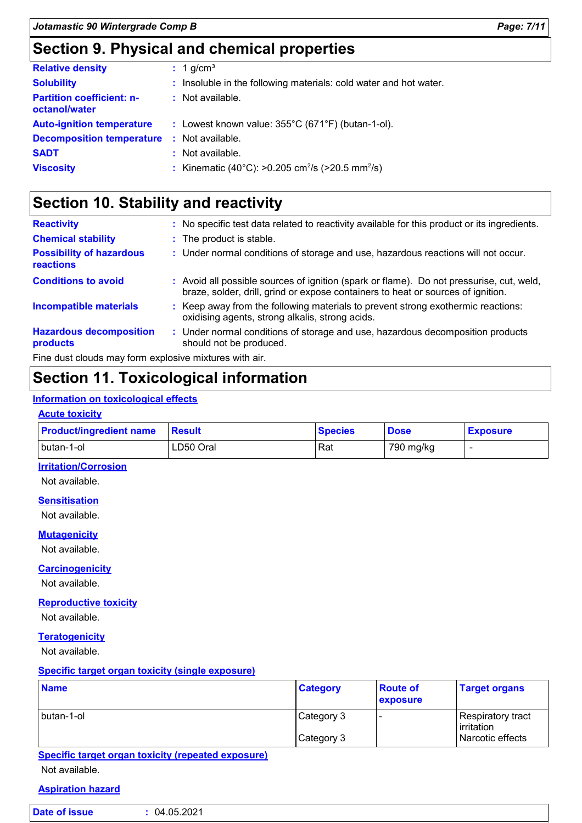# **Section 9. Physical and chemical properties**

| <b>Relative density</b>                           | $: 1$ g/cm <sup>3</sup>                                                  |
|---------------------------------------------------|--------------------------------------------------------------------------|
| <b>Solubility</b>                                 | : Insoluble in the following materials: cold water and hot water.        |
| <b>Partition coefficient: n-</b><br>octanol/water | : Not available.                                                         |
| <b>Auto-ignition temperature</b>                  | : Lowest known value: $355^{\circ}$ C (671 $^{\circ}$ F) (butan-1-ol).   |
| <b>Decomposition temperature</b>                  | : Not available.                                                         |
| <b>SADT</b>                                       | : Not available.                                                         |
| <b>Viscosity</b>                                  | : Kinematic (40°C): >0.205 cm <sup>2</sup> /s (>20.5 mm <sup>2</sup> /s) |

# **Section 10. Stability and reactivity**

| <b>Reactivity</b>                                      | : No specific test data related to reactivity available for this product or its ingredients.                                                                                 |
|--------------------------------------------------------|------------------------------------------------------------------------------------------------------------------------------------------------------------------------------|
| <b>Chemical stability</b>                              | : The product is stable.                                                                                                                                                     |
| <b>Possibility of hazardous</b><br><b>reactions</b>    | : Under normal conditions of storage and use, hazardous reactions will not occur.                                                                                            |
| <b>Conditions to avoid</b>                             | : Avoid all possible sources of ignition (spark or flame). Do not pressurise, cut, weld,<br>braze, solder, drill, grind or expose containers to heat or sources of ignition. |
| <b>Incompatible materials</b>                          | : Keep away from the following materials to prevent strong exothermic reactions:<br>oxidising agents, strong alkalis, strong acids.                                          |
| <b>Hazardous decomposition</b><br>products             | : Under normal conditions of storage and use, hazardous decomposition products<br>should not be produced.                                                                    |
| Fine dust clouds may form explosive mixtures with air. |                                                                                                                                                                              |

## **Section 11. Toxicological information**

#### **Information on toxicological effects**

#### **Acute toxicity**

| <b>Product/ingredient name</b> | Result    | <b>Species</b> | <b>Dose</b> | <b>Exposure</b> |
|--------------------------------|-----------|----------------|-------------|-----------------|
| butan-1-ol                     | LD50 Oral | Rat            | 790 mg/kg   |                 |

#### **Irritation/Corrosion**

Not available.

#### **Sensitisation**

Not available.

#### **Mutagenicity**

Not available.

#### **Carcinogenicity**

Not available.

#### **Reproductive toxicity**

Not available.

#### **Teratogenicity**

Not available.

#### **Specific target organ toxicity (single exposure)**

| <b>Name</b> | <b>Category</b> | <b>Route of</b><br><b>exposure</b> | <b>Target organs</b>            |
|-------------|-----------------|------------------------------------|---------------------------------|
| butan-1-ol  | Category 3      |                                    | Respiratory tract<br>irritation |
|             | Category 3      |                                    | Narcotic effects                |

**Specific target organ toxicity (repeated exposure)**

Not available.

#### **Aspiration hazard**

| Date of issue | 04.05.2021 |
|---------------|------------|
|               |            |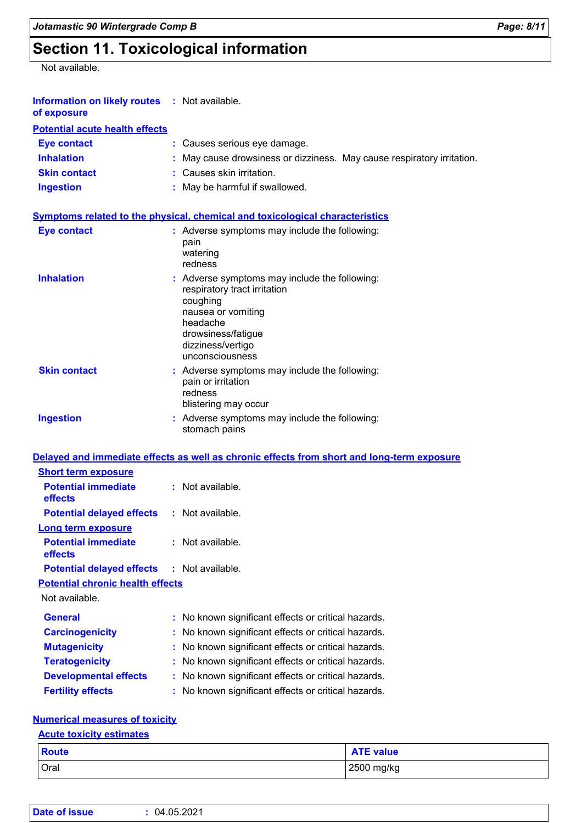# **Section 11. Toxicological information**

Not available.

| Information on likely routes : Not available.<br>of exposure |                                                                                                                                                                                           |
|--------------------------------------------------------------|-------------------------------------------------------------------------------------------------------------------------------------------------------------------------------------------|
| <b>Potential acute health effects</b>                        |                                                                                                                                                                                           |
| <b>Eye contact</b>                                           | : Causes serious eye damage.                                                                                                                                                              |
| <b>Inhalation</b>                                            | May cause drowsiness or dizziness. May cause respiratory irritation.                                                                                                                      |
| <b>Skin contact</b>                                          | : Causes skin irritation.                                                                                                                                                                 |
| <b>Ingestion</b>                                             | : May be harmful if swallowed.                                                                                                                                                            |
|                                                              | <b>Symptoms related to the physical, chemical and toxicological characteristics</b>                                                                                                       |
| <b>Eye contact</b>                                           | : Adverse symptoms may include the following:<br>pain<br>watering<br>redness                                                                                                              |
| <b>Inhalation</b>                                            | : Adverse symptoms may include the following:<br>respiratory tract irritation<br>coughing<br>nausea or vomiting<br>headache<br>drowsiness/fatigue<br>dizziness/vertigo<br>unconsciousness |
| <b>Skin contact</b>                                          | : Adverse symptoms may include the following:<br>pain or irritation<br>redness<br>blistering may occur                                                                                    |
| <b>Ingestion</b>                                             | : Adverse symptoms may include the following:<br>stomach pains                                                                                                                            |
|                                                              | Delayed and immediate effects as well as chronic effects from short and long-term exposure                                                                                                |
| <b>Short term exposure</b>                                   |                                                                                                                                                                                           |
| <b>Potential immediate</b><br>effects                        | : Not available.                                                                                                                                                                          |
| <b>Potential delayed effects</b>                             | : Not available.                                                                                                                                                                          |
| <b>Long term exposure</b>                                    |                                                                                                                                                                                           |
| <b>Potential immediate</b><br>effects                        | Not available.                                                                                                                                                                            |
| <b>Potential delayed effects</b>                             | Not available.                                                                                                                                                                            |
| <b>Potential chronic health effects</b>                      |                                                                                                                                                                                           |
| Not available.                                               |                                                                                                                                                                                           |
| <b>General</b>                                               | No known significant effects or critical hazards.                                                                                                                                         |
| <b>Carcinogenicity</b>                                       | No known significant effects or critical hazards.                                                                                                                                         |
| <b>Mutagenicity</b>                                          | No known significant effects or critical hazards.                                                                                                                                         |
| <b>Teratogenicity</b>                                        | No known significant effects or critical hazards.                                                                                                                                         |
| <b>Developmental effects</b>                                 | No known significant effects or critical hazards.                                                                                                                                         |
| <b>Fertility effects</b>                                     | No known significant effects or critical hazards.                                                                                                                                         |
|                                                              |                                                                                                                                                                                           |

#### **Numerical measures of toxicity**

### Oral 2500 mg/kg **Route ATE value Acute toxicity estimates**

| <b>Date of issue</b> | 04.05.2021 |  |  |  |
|----------------------|------------|--|--|--|
|----------------------|------------|--|--|--|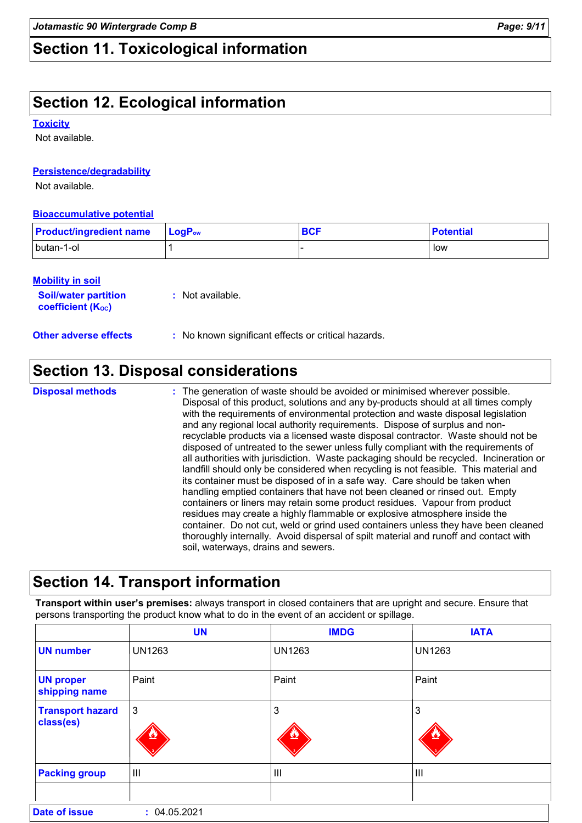# **Section 11. Toxicological information**

# **Section 12. Ecological information**

#### **Toxicity**

Not available.

#### **Persistence/degradability**

Not available.

#### **Bioaccumulative potential**

| <b>Product/ingredient name</b> | $\blacksquare$ Log $\mathsf{P}_\mathsf{ow}$ | <b>BCF</b> | <b>Potential</b> |
|--------------------------------|---------------------------------------------|------------|------------------|
| butan-1-ol                     |                                             |            | low              |

#### **Mobility in soil**

Г

| <b>Soil/water partition</b><br><b>coefficient (Koc)</b> | : Not available. |
|---------------------------------------------------------|------------------|
|                                                         |                  |

**Other adverse effects :** No known significant effects or critical hazards.

### **Section 13. Disposal considerations**

The generation of waste should be avoided or minimised wherever possible. Disposal of this product, solutions and any by-products should at all times comply with the requirements of environmental protection and waste disposal legislation and any regional local authority requirements. Dispose of surplus and nonrecyclable products via a licensed waste disposal contractor. Waste should not be disposed of untreated to the sewer unless fully compliant with the requirements of all authorities with jurisdiction. Waste packaging should be recycled. Incineration or landfill should only be considered when recycling is not feasible. This material and its container must be disposed of in a safe way. Care should be taken when handling emptied containers that have not been cleaned or rinsed out. Empty containers or liners may retain some product residues. Vapour from product residues may create a highly flammable or explosive atmosphere inside the container. Do not cut, weld or grind used containers unless they have been cleaned thoroughly internally. Avoid dispersal of spilt material and runoff and contact with soil, waterways, drains and sewers. **Disposal methods :**

### **Section 14. Transport information**

**Transport within user's premises:** always transport in closed containers that are upright and secure. Ensure that persons transporting the product know what to do in the event of an accident or spillage.

|                                      | <b>UN</b>      | <b>IMDG</b>   | <b>IATA</b>    |  |  |
|--------------------------------------|----------------|---------------|----------------|--|--|
| <b>UN</b> number                     | <b>UN1263</b>  | <b>UN1263</b> | <b>UN1263</b>  |  |  |
| <b>UN proper</b><br>shipping name    | Paint          | Paint         | Paint          |  |  |
| <b>Transport hazard</b><br>class(es) | $\mathbf{3}$   | 3             | 3              |  |  |
| <b>Packing group</b>                 | $\mathbf{III}$ | Ш             | $\mathbf{III}$ |  |  |
|                                      |                |               |                |  |  |
| <b>Date of issue</b>                 | : 04.05.2021   |               |                |  |  |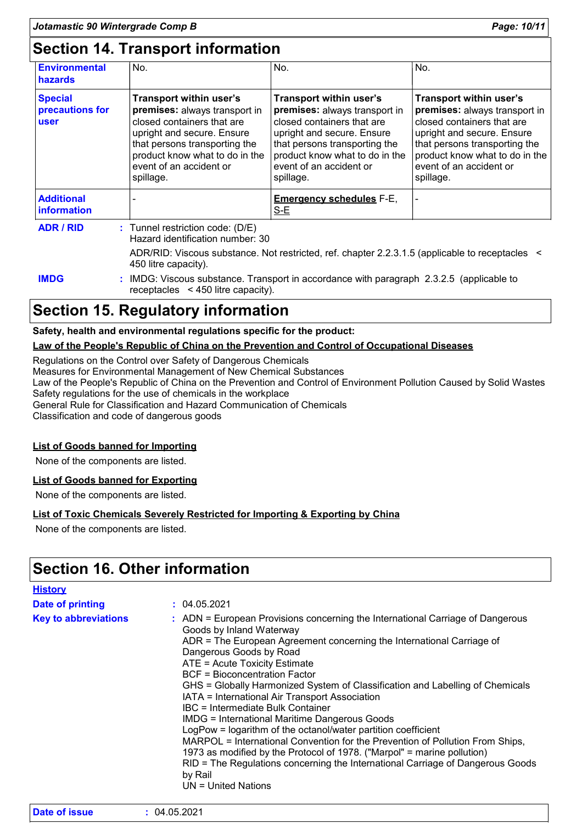# **Section 14. Transport information**

| <b>Environmental</b><br><b>hazards</b>    | No.                                                                                                                                                                                                                             | No.                                                                                                                                                                                                                             | No.                                                                                                                                                                                                                             |
|-------------------------------------------|---------------------------------------------------------------------------------------------------------------------------------------------------------------------------------------------------------------------------------|---------------------------------------------------------------------------------------------------------------------------------------------------------------------------------------------------------------------------------|---------------------------------------------------------------------------------------------------------------------------------------------------------------------------------------------------------------------------------|
| <b>Special</b><br>precautions for<br>user | Transport within user's<br>premises: always transport in<br>closed containers that are<br>upright and secure. Ensure<br>that persons transporting the<br>product know what to do in the<br>event of an accident or<br>spillage. | Transport within user's<br>premises: always transport in<br>closed containers that are<br>upright and secure. Ensure<br>that persons transporting the<br>product know what to do in the<br>event of an accident or<br>spillage. | Transport within user's<br>premises: always transport in<br>closed containers that are<br>upright and secure. Ensure<br>that persons transporting the<br>product know what to do in the<br>event of an accident or<br>spillage. |
| <b>Additional</b><br>information          |                                                                                                                                                                                                                                 | <b>Emergency schedules F-E,</b><br>$S-E$                                                                                                                                                                                        |                                                                                                                                                                                                                                 |
| <b>ADR / RID</b>                          | $:$ Tunnel restriction code: (D/E)<br>Hazard identification number: 30                                                                                                                                                          |                                                                                                                                                                                                                                 |                                                                                                                                                                                                                                 |
|                                           | 450 litre capacity).                                                                                                                                                                                                            | ADR/RID: Viscous substance. Not restricted, ref. chapter 2.2.3.1.5 (applicable to receptacles <                                                                                                                                 |                                                                                                                                                                                                                                 |

**IMDG :** IMDG: Viscous substance. Transport in accordance with paragraph 2.3.2.5 (applicable to receptacles < 450 litre capacity).

### **Section 15. Regulatory information**

#### **Safety, health and environmental regulations specific for the product:**

#### **Law of the People's Republic of China on the Prevention and Control of Occupational Diseases**

Regulations on the Control over Safety of Dangerous Chemicals

Measures for Environmental Management of New Chemical Substances

Law of the People's Republic of China on the Prevention and Control of Environment Pollution Caused by Solid Wastes Safety regulations for the use of chemicals in the workplace

General Rule for Classification and Hazard Communication of Chemicals

Classification and code of dangerous goods

#### **List of Goods banned for Importing**

None of the components are listed.

#### **List of Goods banned for Exporting**

None of the components are listed.

#### **List of Toxic Chemicals Severely Restricted for Importing & Exporting by China**

None of the components are listed.

### **Section 16. Other information**

| <b>History</b>              |                                                                                                                                                                                                                                                                                                                                                                                                                                                                                                                                                                                                                                                                                                                                                                                                                                                                   |
|-----------------------------|-------------------------------------------------------------------------------------------------------------------------------------------------------------------------------------------------------------------------------------------------------------------------------------------------------------------------------------------------------------------------------------------------------------------------------------------------------------------------------------------------------------------------------------------------------------------------------------------------------------------------------------------------------------------------------------------------------------------------------------------------------------------------------------------------------------------------------------------------------------------|
| Date of printing            | : 04.05.2021                                                                                                                                                                                                                                                                                                                                                                                                                                                                                                                                                                                                                                                                                                                                                                                                                                                      |
| <b>Key to abbreviations</b> | : ADN = European Provisions concerning the International Carriage of Dangerous<br>Goods by Inland Waterway<br>ADR = The European Agreement concerning the International Carriage of<br>Dangerous Goods by Road<br>ATE = Acute Toxicity Estimate<br>BCF = Bioconcentration Factor<br>GHS = Globally Harmonized System of Classification and Labelling of Chemicals<br>IATA = International Air Transport Association<br>IBC = Intermediate Bulk Container<br><b>IMDG = International Maritime Dangerous Goods</b><br>LogPow = logarithm of the octanol/water partition coefficient<br>MARPOL = International Convention for the Prevention of Pollution From Ships,<br>1973 as modified by the Protocol of 1978. ("Marpol" = marine pollution)<br>RID = The Regulations concerning the International Carriage of Dangerous Goods<br>by Rail<br>UN = United Nations |